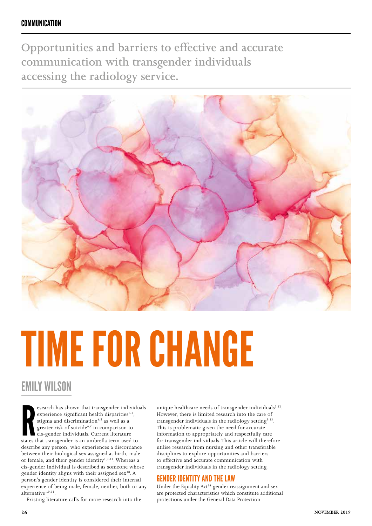**Opportunities and barriers to effective and accurate communication with transgender individuals accessing the radiology service.**



# TIME FOR CHANGE

# EMILY WILSON

esearch has shown that transgender individues<br>
experience significant health disparities<sup>1-3</sup>,<br>
stigma and discrimination<sup>4,5</sup> as well as a<br>
greater risk of suicide<sup>6,7</sup> in comparison to<br>
cis-gender individuals. Current li esearch has shown that transgender individuals experience significant health disparities $1-3$ , stigma and discrimination<sup>4,5</sup> as well as a greater risk of suicide $6,7$  in comparison to cis-gender individuals. Current literature describe any person, who experiences a discordance between their biological sex assigned at birth, male or female, and their gender identity<sup>1,8-11</sup>. Whereas a cis-gender individual is described as someone whose gender identity aligns with their assigned  $sex^{10}$ . A person's gender identity is considered their internal experience of being male, female, neither, both or any  $\arctan$ alternative<sup>1,9,11</sup>.

Existing literature calls for more research into the

unique healthcare needs of transgender individuals<sup>3,12</sup>. However, there is limited research into the care of transgender individuals in the radiology setting<sup>9,13</sup>. This is problematic given the need for accurate information to appropriately and respectfully care for transgender individuals. This article will therefore utilise research from nursing and other transferable disciplines to explore opportunities and barriers to effective and accurate communication with transgender individuals in the radiology setting.

## GENDER IDENTITY AND THE LAW

Under the Equality Act<sup>14</sup> gender reassignment and sex are protected characteristics which constitute additional protections under the General Data Protection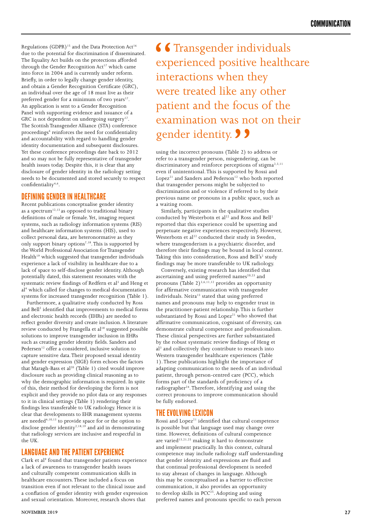Regulations (GDPR)<sup>15</sup> and the Data Protection Act<sup>16</sup> due to the potential for discrimination if disseminated. The Equality Act builds on the protections afforded through the Gender Recognition Act<sup>17</sup> which came into force in 2004 and is currently under reform. Briefly, in order to legally change gender identity, and obtain a Gender Recognition Certificate (GRC), an individual over the age of 18 must live as their preferred gender for a minimum of two years<sup>17</sup>. An application is sent to a Gender Recognition Panel with supporting evidence and issuance of a GRC is not dependent on undergoing surgery<sup>17</sup>. The Scottish Transgender Alliance (STA) conference proceedings<sup>6</sup> reinforces the need for confidentiality and accountability with regard to handling gender identity documentation and subsequent disclosures. Yet these conference proceedings date back to 2012 and so may not be fully representative of transgender health issues today. Despite this, it is clear that any disclosure of gender identity in the radiology setting needs to be documented and stored securely to respect confidentiality<sup>4,6</sup>.

#### DEFINING GENDER IN HEALTHCARE

Recent publications conceptualise gender identity as a spectrum<sup>12,13</sup> as opposed to traditional binary definitions of male or female. Yet, imaging request systems, such as radiology information systems (RIS) and healthcare information systems (HIS), used to collect personal data, are heteronormative as they only support binary options<sup>7,18</sup>. This is supported by the World Professional Association for Transgender Health<sup>19</sup> which suggested that transgender individuals experience a lack of visibility in healthcare due to a lack of space to self-disclose gender identity. Although potentially dated, this statement resonates with the systematic review findings of Redfern et al<sup>3</sup> and Heng et al<sup>4</sup> which called for changes to medical documentation systems for increased transgender recognition (Table 1).

Furthermore, a qualitative study conducted by Ross and Bell<sup>2</sup> identified that improvements to medical forms and electronic health records (EHRs) are needed to reflect gender diversity and create inclusion. A literature review conducted by Frangella et al<sup>18</sup> suggested possible solutions to improve transgender inclusion in EHRs such as creating gender identity fields. Sanders and Pedersen<sup>12</sup> offer a considered, inclusive solution to capture sensitive data. Their proposed sexual identity and gender expression (SIGE) form echoes the factors that Maragh-Bass et al<sup>20</sup> (Table 1) cited would improve disclosure such as providing clinical reasoning as to why the demographic information is required. In spite of this, their method for developing the form is not explicit and they provide no pilot data or any responses to it in clinical settings (Table 1) rendering their findings less transferable to UK radiology. Hence it is clear that developments to EHR management systems are needed<sup>4,10,13</sup> to provide space for or the option to disclose gender identity<sup>2,18,19</sup> and aid in demonstrating that radiology services are inclusive and respectful in the UK.

## LANGUAGE AND THE PATIENT EXPERIENCE

Clark et al<sup>9</sup> found that transgender patients experience a lack of awareness to transgender health issues and culturally competent communication skills in healthcare encounters. These included a focus on transition even if not relevant to the clinical issue and a conflation of gender identity with gender expression and sexual orientation. Moreover, research shows that

66 Transgender individuals experienced positive healthcare interactions when they were treated like any other patient and the focus of the examination was not on their gender identity.

using the incorrect pronouns (Table 2) to address or refer to a transgender person, misgendering, can be discriminatory and reinforce perceptions of stigma<sup>2,3,11</sup> even if unintentional. This is supported by Rossi and Lopez<sup>21</sup> and Sanders and Pederson<sup>12</sup> who both reported that transgender persons might be subjected to discrimination and or violence if referred to by their previous name or pronouns in a public space, such as a waiting room.

Similarly, participants in the qualitative studies conducted by Westerbotn et al<sup>22</sup> and Ross and Bell<sup>2</sup> reported that this experience could be upsetting and perpetuate negative experiences respectively. However, Westerbotn et al<sup>22</sup> conducted their study in Sweden, where transgenderism is a psychiatric disorder, and therefore their findings may be bound in local context. Taking this into consideration, Ross and Bell's<sup>2</sup> study findings may be more transferable to UK radiology.

Conversely, existing research has identified that ascertaining and using preferred names<sup>20,23</sup> and pronouns (Table 2)<sup>3,6,11,12</sup> provides an opportunity for affirmative communication with transgender individuals. Neira<sup>13</sup> stated that using preferred names and pronouns may help to engender trust in the practitioner-patient relationship. This is further substantiated by Rossi and Lopez<sup>21</sup> who showed that affirmative communication, cognisant of diversity, can demonstrate cultural competence and professionalism. These clinical perspectives are further substantiated by the robust systematic review findings of Heng et al3 and collectively they contribute to research into Western transgender healthcare experiences (Table 1). These publications highlight the importance of adapting communication to the needs of an individual patient, through person-centred care (PCC), which forms part of the standards of proficiency of a radiographer<sup>24</sup>. Therefore, identifying and using the correct pronouns to improve communication should be fully endorsed.

#### THE EVOLVING LEXICON

Rossi and Lopez<sup>21</sup> identified that cultural competence is possible but that language used may change over time. However, definitions of cultural competence are varied<sup>13,21,25</sup> making it hard to demonstrate and implement practically. In this context, cultural competence may include radiology staff understanding that gender identity and expressions are fluid and that continual professional development is needed to stay abreast of changes in language. Although this may be conceptualised as a barrier to effective communication, it also provides an opportunity to develop skills in  $PCC^{25}$ . Adopting and using preferred names and pronouns specific to each person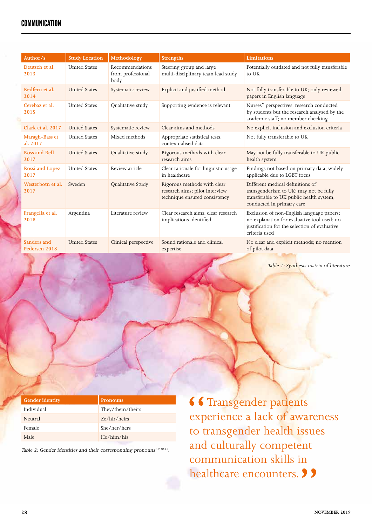| Author/s                     | <b>Study Location</b> | Methodology                                  | <b>Strengths</b>                                                                               | <b>Limitations</b>                                                                                                                                         |
|------------------------------|-----------------------|----------------------------------------------|------------------------------------------------------------------------------------------------|------------------------------------------------------------------------------------------------------------------------------------------------------------|
| Deutsch et al.<br>2013       | <b>United States</b>  | Recommendations<br>from professional<br>body | Steering group and large<br>multi-disciplinary team lead study                                 | Potentially outdated and not fully transferable<br>to UK                                                                                                   |
| Redfern et al.<br>2014       | <b>United States</b>  | Systematic review                            | Explicit and justified method                                                                  | Not fully transferable to UK; only reviewed<br>papers in English language                                                                                  |
| Cerebaz et al.<br>2015       | <b>United States</b>  | Qualitative study                            | Supporting evidence is relevant                                                                | Nurses" perspectives; research conducted<br>by students but the research analysed by the<br>academic staff; no member checking                             |
| Clark et al. 2017            | <b>United States</b>  | Systematic review                            | Clear aims and methods                                                                         | No explicit inclusion and exclusion criteria                                                                                                               |
| Maragh-Bass et<br>al. 2017   | <b>United States</b>  | Mixed methods                                | Appropriate statistical tests,<br>contextualised data                                          | Not fully transferable to UK                                                                                                                               |
| <b>Ross and Bell</b><br>2017 | <b>United States</b>  | Qualitative study                            | Rigorous methods with clear<br>research aims                                                   | May not be fully transferable to UK public<br>health system                                                                                                |
| Rossi and Lopez<br>2017      | <b>United States</b>  | Review article                               | Clear rationale for linguistic usage<br>in healthcare                                          | Findings not based on primary data; widely<br>applicable due to LGBT focus                                                                                 |
| Westerbotn et al.<br>2017    | Sweden                | Qualitative Study                            | Rigorous methods with clear<br>research aims; pilot interview<br>technique ensured consistency | Different medical definitions of<br>transgenderism to UK; may not be fully<br>transferable to UK public health system;<br>conducted in primary care        |
| Frangella et al.<br>2018     | Argentina             | Literature review                            | Clear research aims; clear research<br>implications identified                                 | Exclusion of non-English language papers;<br>no explanation for evaluative tool used; no<br>justification for the selection of evaluative<br>criteria used |
| Sanders and<br>Pedersen 2018 | <b>United States</b>  | Clinical perspective                         | Sound rationale and clinical<br>expertise                                                      | No clear and explicit methods; no mention<br>of pilot data                                                                                                 |

Table 1: Synthesis matrix of literature.

| <b>Gender identity</b> | <b>Pronouns</b>  |  |  |  |
|------------------------|------------------|--|--|--|
| Individual             | They/them/theirs |  |  |  |
| Neutral                | Ze/hir/heirs     |  |  |  |
| Female                 | She/her/hers     |  |  |  |
| Male                   | He/him/his       |  |  |  |

Table 2: Gender identities and their corresponding pronouns<sup>1,9,10,12</sup>.

66 Transgender patients experience a lack of awareness to transgender health issues and culturally competent communication skills in healthcare encounters. **99**